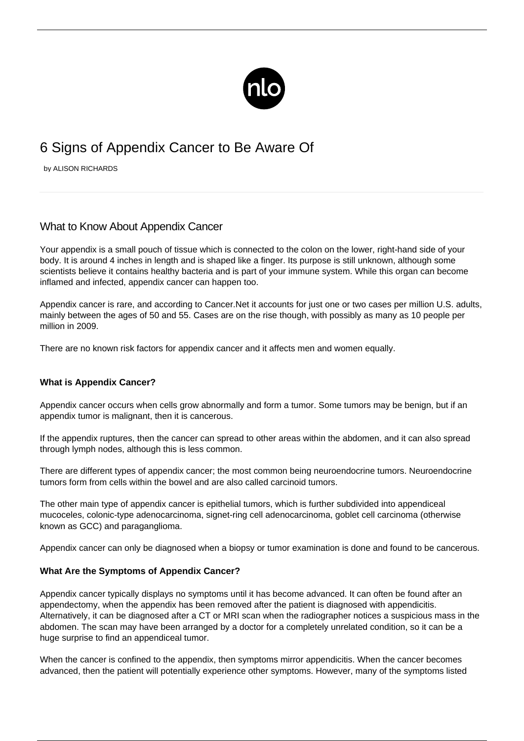

# 6 Signs of Appendix Cancer to Be Aware Of

by ALISON RICHARDS

# What to Know About Appendix Cancer

Your appendix is a small pouch of tissue which is connected to the colon on the lower, right-hand side of your body. It is around 4 inches in length and is shaped like a finger. Its purpose is still unknown, although some scientists believe it contains healthy bacteria and is part of your immune system. While this organ can become inflamed and infected, appendix cancer can happen too.

Appendix cancer is rare, and according to Cancer.Net it accounts for just [one or two cases per million U.S. adults](https://www.cancer.net/cancer-types/appendix-cancer/statistics), mainly between the ages of 50 and 55. Cases are on the rise though, with possibly as many as 10 people per million in 2009.

There are no known risk factors for appendix cancer and it affects men and women equally.

### **What is Appendix Cancer?**

Appendix cancer occurs when cells grow abnormally and form a tumor. Some tumors may be benign, but if an appendix tumor is malignant, then it is cancerous.

If the appendix ruptures, then the cancer can spread to other areas within the abdomen, and it can also spread through lymph nodes, although this is less common.

There are different types of appendix cancer; the most common being neuroendocrine tumors. Neuroendocrine tumors form from cells within the bowel and are also called carcinoid tumors.

The other main type of appendix cancer is epithelial tumors, which is further subdivided into appendiceal mucoceles, colonic-type adenocarcinoma, signet-ring cell adenocarcinoma, goblet cell carcinoma (otherwise known as GCC) and paraganglioma.

Appendix cancer can only be diagnosed when a biopsy or tumor examination is done and found to be cancerous.

### **What Are the Symptoms of Appendix Cancer?**

Appendix cancer typically displays no symptoms until it has become advanced. It can often be found after an appendectomy, when the appendix has been removed after the patient is diagnosed with appendicitis. Alternatively, it can be diagnosed after a CT or MRI scan when the radiographer notices a suspicious mass in the abdomen. The scan may have been arranged by a doctor for a completely unrelated condition, so it can be a huge surprise to find an appendiceal tumor.

When the cancer is confined to the appendix, then symptoms mirror appendicitis. When the cancer becomes advanced, then the patient will potentially experience other symptoms. However, many of the symptoms listed